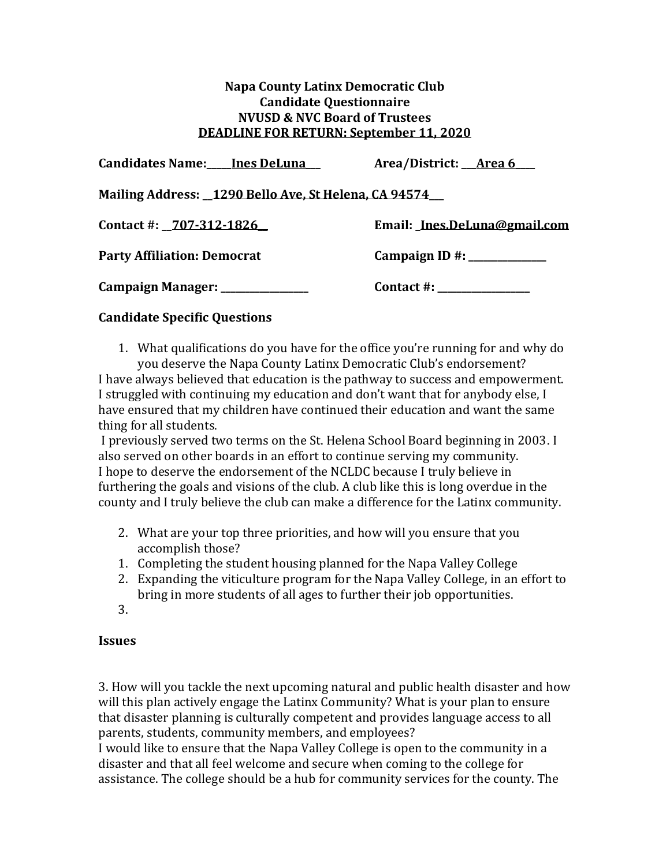## **Napa County Latinx Democratic Club Candidate Questionnaire NVUSD & NVC Board of Trustees DEADLINE FOR RETURN: September 11, 2020**

| <b>Candidates Name:____Ines DeLuna___</b>               | Area/District: __Area 6___   |
|---------------------------------------------------------|------------------------------|
| Mailing Address: _1290 Bello Ave, St Helena, CA 94574__ |                              |
| Contact #: 707-312-1826                                 | Email: Ines.DeLuna@gmail.com |
| <b>Party Affiliation: Democrat</b>                      |                              |
| Campaign Manager: _______________                       | $\text{Context} \#:$         |

## **Candidate Specific Questions**

1. What qualifications do you have for the office you're running for and why do you deserve the Napa County Latinx Democratic Club's endorsement?

I have always believed that education is the pathway to success and empowerment. I struggled with continuing my education and don't want that for anybody else, I have ensured that my children have continued their education and want the same thing for all students.

I previously served two terms on the St. Helena School Board beginning in 2003. I also served on other boards in an effort to continue serving my community. I hope to deserve the endorsement of the NCLDC because I truly believe in furthering the goals and visions of the club. A club like this is long overdue in the county and I truly believe the club can make a difference for the Latinx community.

- 2. What are your top three priorities, and how will you ensure that you accomplish those?
- 1. Completing the student housing planned for the Napa Valley College
- 2. Expanding the viticulture program for the Napa Valley College, in an effort to bring in more students of all ages to further their job opportunities.
- 3.

## **Issues**

3. How will you tackle the next upcoming natural and public health disaster and how will this plan actively engage the Latinx Community? What is your plan to ensure that disaster planning is culturally competent and provides language access to all parents, students, community members, and employees?

I would like to ensure that the Napa Valley College is open to the community in a disaster and that all feel welcome and secure when coming to the college for assistance. The college should be a hub for community services for the county. The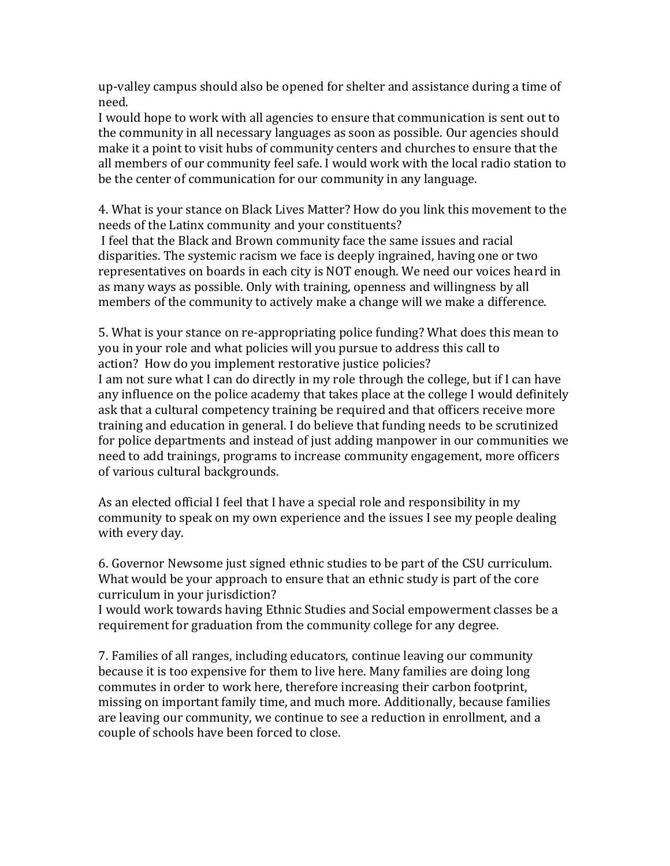up-valley campus should also be opened for shelter and assistance during a time of need.

I would hope to work with all agencies to ensure that communication is sent out to the community in all necessary languages as soon as possible. Our agencies should make it a point to visit hubs of community centers and churches to ensure that the all members of our community feel safe. I would work with the local radio station to be the center of communication for our community in any language.

4. What is your stance on Black Lives Matter? How do you link this movement to the needs of the Latinx community and your constituents?

I feel that the Black and Brown community face the same issues and racial disparities. The systemic racism we face is deeply ingrained, having one or two representatives on boards in each city is NOT enough. We need our voices heard in as many ways as possible. Only with training, openness and willingness by all members of the community to actively make a change will we make a difference.

5. What is your stance on re-appropriating police funding? What does this mean to you in your role and what policies will you pursue to address this call to action? How do you implement restorative justice policies?

I am not sure what I can do directly in my role through the college, but if I can have any influence on the police academy that takes place at the college I would definitely ask that a cultural competency training be required and that officers receive more training and education in general. I do believe that funding needs to be scrutinized for police departments and instead of just adding manpower in our communities we need to add trainings, programs to increase community engagement, more officers of various cultural backgrounds.

As an elected official I feel that I have a special role and responsibility in my community to speak on my own experience and the issues I see my people dealing with every day.

6. Governor Newsome just signed ethnic studies to be part of the CSU curriculum. What would be your approach to ensure that an ethnic study is part of the core curriculum in your jurisdiction?

I would work towards having Ethnic Studies and Social empowerment classes be a requirement for graduation from the community college for any degree.

7. Families of all ranges, including educators, continue leaving our community because it is too expensive for them to live here. Many families are doing long commutes in order to work here, therefore increasing their carbon footprint, missing on important family time, and much more. Additionally, because families are leaving our community, we continue to see a reduction in enrollment, and a couple of schools have been forced to close.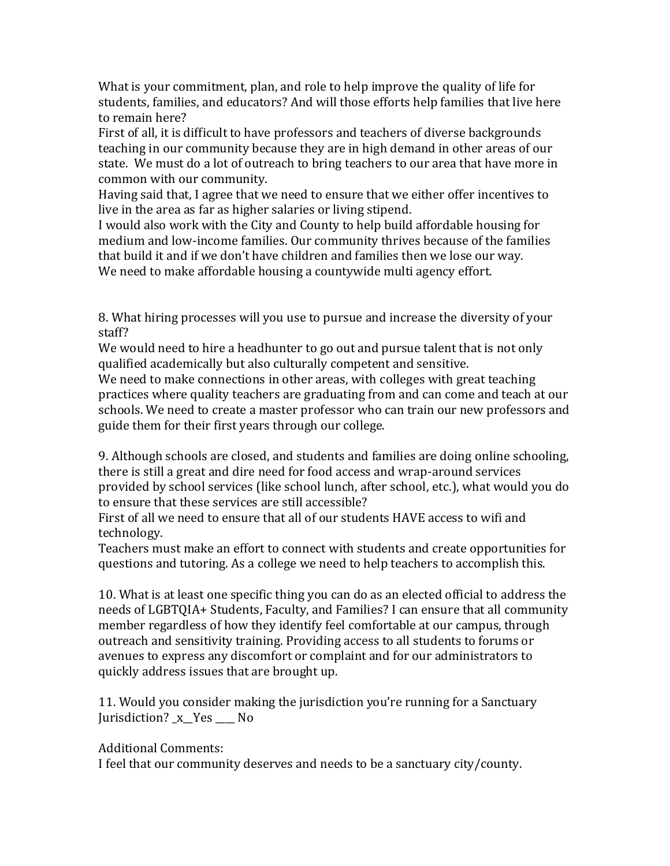What is your commitment, plan, and role to help improve the quality of life for students, families, and educators? And will those efforts help families that live here to remain here?

First of all, it is difficult to have professors and teachers of diverse backgrounds teaching in our community because they are in high demand in other areas of our state. We must do a lot of outreach to bring teachers to our area that have more in common with our community.

Having said that, I agree that we need to ensure that we either offer incentives to live in the area as far as higher salaries or living stipend.

I would also work with the City and County to help build affordable housing for medium and low-income families. Our community thrives because of the families that build it and if we don't have children and families then we lose our way. We need to make affordable housing a countywide multi agency effort.

8. What hiring processes will you use to pursue and increase the diversity of your staff?

We would need to hire a headhunter to go out and pursue talent that is not only qualified academically but also culturally competent and sensitive.

We need to make connections in other areas, with colleges with great teaching practices where quality teachers are graduating from and can come and teach at our schools. We need to create a master professor who can train our new professors and guide them for their first years through our college.

9. Although schools are closed, and students and families are doing online schooling, there is still a great and dire need for food access and wrap-around services provided by school services (like school lunch, after school, etc.), what would you do to ensure that these services are still accessible?

First of all we need to ensure that all of our students HAVE access to wifi and technology.

Teachers must make an effort to connect with students and create opportunities for questions and tutoring. As a college we need to help teachers to accomplish this.

10. What is at least one specific thing you can do as an elected official to address the needs of LGBTQIA+ Students, Faculty, and Families? I can ensure that all community member regardless of how they identify feel comfortable at our campus, through outreach and sensitivity training. Providing access to all students to forums or avenues to express any discomfort or complaint and for our administrators to quickly address issues that are brought up.

11. Would you consider making the jurisdiction you're running for a Sanctuary Jurisdiction? x Yes No

## Additional Comments:

I feel that our community deserves and needs to be a sanctuary city/county.